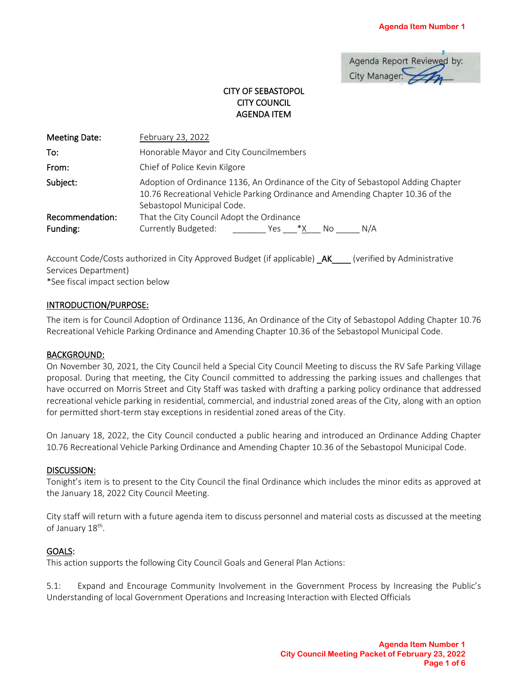| Agenda Report Reviewed by: |  |
|----------------------------|--|
| City Manager:              |  |

# CITY OF SEBASTOPOL CITY COUNCIL AGENDA ITEM

| Meeting Date:               | February 23, 2022                                                                                                                                                                                 |  |
|-----------------------------|---------------------------------------------------------------------------------------------------------------------------------------------------------------------------------------------------|--|
| To:                         | Honorable Mayor and City Councilmembers                                                                                                                                                           |  |
| From:                       | Chief of Police Kevin Kilgore                                                                                                                                                                     |  |
| Subject:                    | Adoption of Ordinance 1136, An Ordinance of the City of Sebastopol Adding Chapter<br>10.76 Recreational Vehicle Parking Ordinance and Amending Chapter 10.36 of the<br>Sebastopol Municipal Code. |  |
| Recommendation:<br>Funding: | That the City Council Adopt the Ordinance<br>Currently Budgeted:<br>N/A<br>*X<br>No.<br>Yes                                                                                                       |  |

Account Code/Costs authorized in City Approved Budget (if applicable) \_AK\_\_\_\_ (verified by Administrative Services Department) \*See fiscal impact section below

### INTRODUCTION/PURPOSE:

The item is for Council Adoption of Ordinance 1136, An Ordinance of the City of Sebastopol Adding Chapter 10.76 Recreational Vehicle Parking Ordinance and Amending Chapter 10.36 of the Sebastopol Municipal Code.

#### BACKGROUND:

On November 30, 2021, the City Council held a Special City Council Meeting to discuss the RV Safe Parking Village proposal. During that meeting, the City Council committed to addressing the parking issues and challenges that have occurred on Morris Street and City Staff was tasked with drafting a parking policy ordinance that addressed recreational vehicle parking in residential, commercial, and industrial zoned areas of the City, along with an option for permitted short-term stay exceptions in residential zoned areas of the City.

On January 18, 2022, the City Council conducted a public hearing and introduced an Ordinance Adding Chapter 10.76 Recreational Vehicle Parking Ordinance and Amending Chapter 10.36 of the Sebastopol Municipal Code.

#### DISCUSSION:

Tonight's item is to present to the City Council the final Ordinance which includes the minor edits as approved at the January 18, 2022 City Council Meeting.

City staff will return with a future agenda item to discuss personnel and material costs as discussed at the meeting of January 18<sup>th</sup>.

### GOALS:

This action supports the following City Council Goals and General Plan Actions:

5.1: Expand and Encourage Community Involvement in the Government Process by Increasing the Public's Understanding of local Government Operations and Increasing Interaction with Elected Officials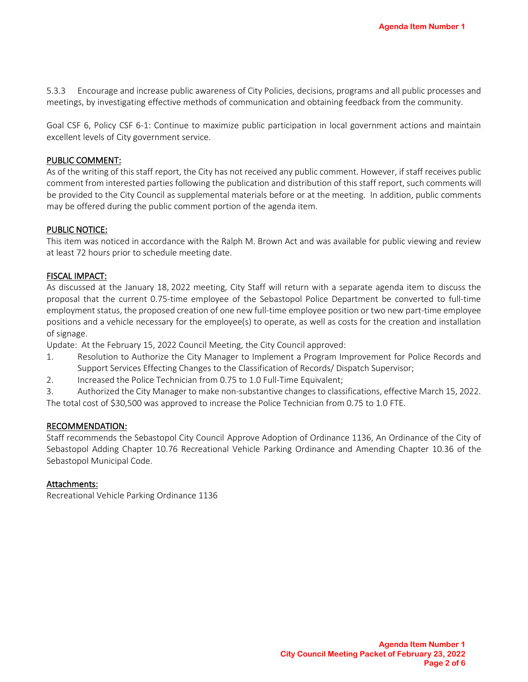5.3.3 Encourage and increase public awareness of City Policies, decisions, programs and all public processes and meetings, by investigating effective methods of communication and obtaining feedback from the community.

Goal CSF 6, Policy CSF 6-1: Continue to maximize public participation in local government actions and maintain excellent levels of City government service.

#### PUBLIC COMMENT:

As of the writing of this staff report, the City has not received any public comment. However, if staff receives public comment from interested parties following the publication and distribution of this staff report, such comments will be provided to the City Council as supplemental materials before or at the meeting. In addition, public comments may be offered during the public comment portion of the agenda item.

### PUBLIC NOTICE:

This item was noticed in accordance with the Ralph M. Brown Act and was available for public viewing and review at least 72 hours prior to schedule meeting date.

### FISCAL IMPACT:

As discussed at the January 18, 2022 meeting, City Staff will return with a separate agenda item to discuss the proposal that the current 0.75-time employee of the Sebastopol Police Department be converted to full-time employment status, the proposed creation of one new full-time employee position or two new part-time employee positions and a vehicle necessary for the employee(s) to operate, as well as costs for the creation and installation of signage.

Update: At the February 15, 2022 Council Meeting, the City Council approved:

- 1. Resolution to Authorize the City Manager to Implement a Program Improvement for Police Records and Support Services Effecting Changes to the Classification of Records/ Dispatch Supervisor;
- 2. Increased the Police Technician from 0.75 to 1.0 Full-Time Equivalent;

3. Authorized the City Manager to make non-substantive changes to classifications, effective March 15, 2022.

The total cost of \$30,500 was approved to increase the Police Technician from 0.75 to 1.0 FTE.

#### RECOMMENDATION:

Staff recommends the Sebastopol City Council Approve Adoption of Ordinance 1136, An Ordinance of the City of Sebastopol Adding Chapter 10.76 Recreational Vehicle Parking Ordinance and Amending Chapter 10.36 of the Sebastopol Municipal Code.

#### Attachments:

Recreational Vehicle Parking Ordinance 1136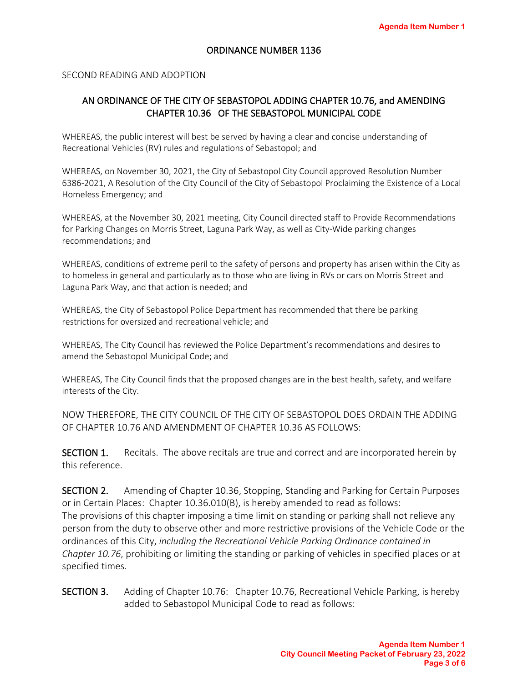### ORDINANCE NUMBER 1136

### SECOND READING AND ADOPTION

# AN ORDINANCE OF THE CITY OF SEBASTOPOL ADDING CHAPTER 10.76, and AMENDING CHAPTER 10.36 OF THE SEBASTOPOL MUNICIPAL CODE

WHEREAS, the public interest will best be served by having a clear and concise understanding of Recreational Vehicles (RV) rules and regulations of Sebastopol; and

WHEREAS, on November 30, 2021, the City of Sebastopol City Council approved Resolution Number 6386-2021, A Resolution of the City Council of the City of Sebastopol Proclaiming the Existence of a Local Homeless Emergency; and

WHEREAS, at the November 30, 2021 meeting, City Council directed staff to Provide Recommendations for Parking Changes on Morris Street, Laguna Park Way, as well as City-Wide parking changes recommendations; and

WHEREAS, conditions of extreme peril to the safety of persons and property has arisen within the City as to homeless in general and particularly as to those who are living in RVs or cars on Morris Street and Laguna Park Way, and that action is needed; and

WHEREAS, the City of Sebastopol Police Department has recommended that there be parking restrictions for oversized and recreational vehicle; and

WHEREAS, The City Council has reviewed the Police Department's recommendations and desires to amend the Sebastopol Municipal Code; and

WHEREAS, The City Council finds that the proposed changes are in the best health, safety, and welfare interests of the City.

NOW THEREFORE, THE CITY COUNCIL OF THE CITY OF SEBASTOPOL DOES ORDAIN THE ADDING OF CHAPTER 10.76 AND AMENDMENT OF CHAPTER 10.36 AS FOLLOWS:

SECTION 1. Recitals. The above recitals are true and correct and are incorporated herein by this reference.

SECTION 2. Amending of Chapter 10.36, Stopping, Standing and Parking for Certain Purposes or in Certain Places: Chapter 10.36.010(B), is hereby amended to read as follows: The provisions of this chapter imposing a time limit on standing or parking shall not relieve any person from the duty to observe other and more restrictive provisions of the Vehicle Code or the ordinances of this City, *including the Recreational Vehicle Parking Ordinance contained in Chapter 10.76*, prohibiting or limiting the standing or parking of vehicles in specified places or at specified times.

SECTION 3. Adding of Chapter 10.76: Chapter 10.76, Recreational Vehicle Parking, is hereby added to Sebastopol Municipal Code to read as follows: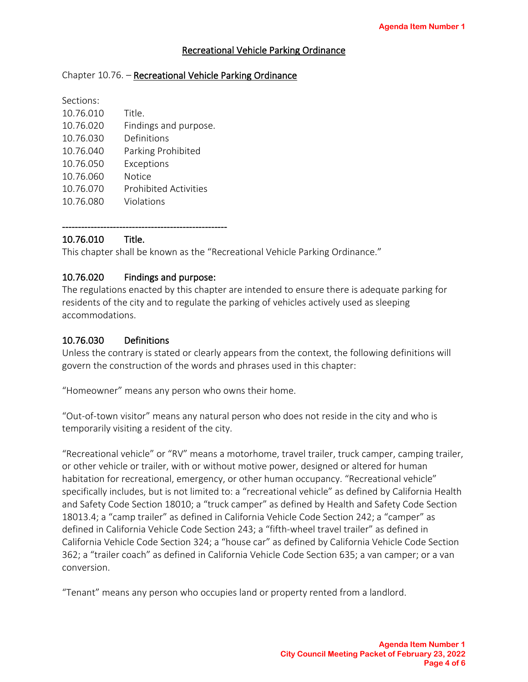# Recreational Vehicle Parking Ordinance

### Chapter 10.76. - Recreational Vehicle Parking Ordinance

| Sections: |                              |
|-----------|------------------------------|
| 10.76.010 | Title.                       |
| 10.76.020 | Findings and purpose.        |
| 10.76.030 | Definitions                  |
| 10.76.040 | Parking Prohibited           |
| 10.76.050 | Exceptions                   |
| 10.76.060 | Notice                       |
| 10.76.070 | <b>Prohibited Activities</b> |
| 10.76.080 | Violations                   |

# 10.76.010 Title.

This chapter shall be known as the "Recreational Vehicle Parking Ordinance."

## 10.76.020 Findings and purpose:

----------------------------------------------------

The regulations enacted by this chapter are intended to ensure there is adequate parking for residents of the city and to regulate the parking of vehicles actively used as sleeping accommodations.

## 10.76.030 Definitions

Unless the contrary is stated or clearly appears from the context, the following definitions will govern the construction of the words and phrases used in this chapter:

"Homeowner" means any person who owns their home.

"Out-of-town visitor" means any natural person who does not reside in the city and who is temporarily visiting a resident of the city.

"Recreational vehicle" or "RV" means a motorhome, travel trailer, truck camper, camping trailer, or other vehicle or trailer, with or without motive power, designed or altered for human habitation for recreational, emergency, or other human occupancy. "Recreational vehicle" specifically includes, but is not limited to: a "recreational vehicle" as defined by California Health and Safety Code Section 18010; a "truck camper" as defined by Health and Safety Code Section 18013.4; a "camp trailer" as defined in California Vehicle Code Section 242; a "camper" as defined in California Vehicle Code Section 243; a "fifth-wheel travel trailer" as defined in California Vehicle Code Section 324; a "house car" as defined by California Vehicle Code Section 362; a "trailer coach" as defined in California Vehicle Code Section 635; a van camper; or a van conversion.

"Tenant" means any person who occupies land or property rented from a landlord.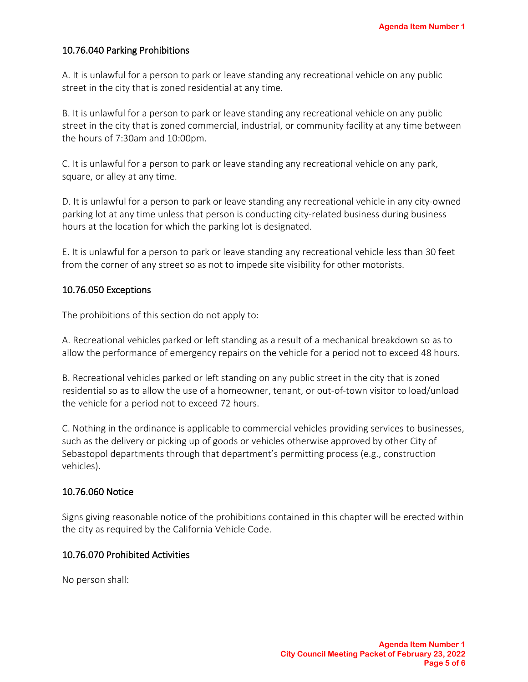# 10.76.040 Parking Prohibitions

A. It is unlawful for a person to park or leave standing any recreational vehicle on any public street in the city that is zoned residential at any time.

B. It is unlawful for a person to park or leave standing any recreational vehicle on any public street in the city that is zoned commercial, industrial, or community facility at any time between the hours of 7:30am and 10:00pm.

C. It is unlawful for a person to park or leave standing any recreational vehicle on any park, square, or alley at any time.

D. It is unlawful for a person to park or leave standing any recreational vehicle in any city-owned parking lot at any time unless that person is conducting city-related business during business hours at the location for which the parking lot is designated.

E. It is unlawful for a person to park or leave standing any recreational vehicle less than 30 feet from the corner of any street so as not to impede site visibility for other motorists.

## 10.76.050 Exceptions

The prohibitions of this section do not apply to:

A. Recreational vehicles parked or left standing as a result of a mechanical breakdown so as to allow the performance of emergency repairs on the vehicle for a period not to exceed 48 hours.

B. Recreational vehicles parked or left standing on any public street in the city that is zoned residential so as to allow the use of a homeowner, tenant, or out-of-town visitor to load/unload the vehicle for a period not to exceed 72 hours.

C. Nothing in the ordinance is applicable to commercial vehicles providing services to businesses, such as the delivery or picking up of goods or vehicles otherwise approved by other City of Sebastopol departments through that department's permitting process (e.g., construction vehicles).

## 10.76.060 Notice

Signs giving reasonable notice of the prohibitions contained in this chapter will be erected within the city as required by the California Vehicle Code.

## 10.76.070 Prohibited Activities

No person shall: